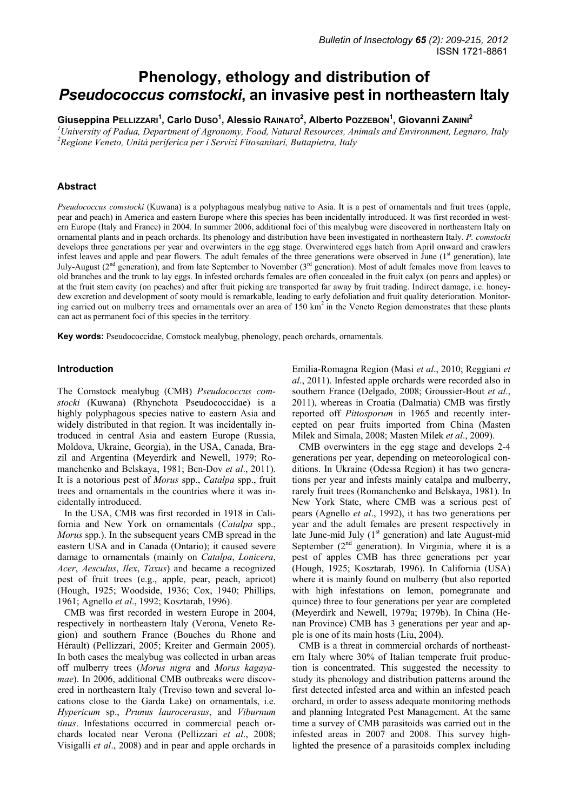# **Phenology, ethology and distribution of**  *Pseudococcus comstocki***, an invasive pest in northeastern Italy**

**Giuseppina PELLIZZARI<sup>1</sup> , Carlo DUSO1 , Alessio RAINATO<sup>2</sup> , Alberto POZZEBON1 , Giovanni ZANINI<sup>2</sup>**

*1 University of Padua, Department of Agronomy, Food, Natural Resources, Animals and Environment, Legnaro, Italy 2 Regione Veneto, Unità periferica per i Servizi Fitosanitari, Buttapietra, Italy* 

# **Abstract**

*Pseudococcus comstocki* (Kuwana) is a polyphagous mealybug native to Asia. It is a pest of ornamentals and fruit trees (apple, pear and peach) in America and eastern Europe where this species has been incidentally introduced. It was first recorded in western Europe (Italy and France) in 2004. In summer 2006, additional foci of this mealybug were discovered in northeastern Italy on ornamental plants and in peach orchards. Its phenology and distribution have been investigated in northeastern Italy. *P. comstocki* develops three generations per year and overwinters in the egg stage. Overwintered eggs hatch from April onward and crawlers infest leaves and apple and pear flowers. The adult females of the three generations were observed in June (1<sup>st</sup> generation), late July-August ( $2<sup>nd</sup>$  generation), and from late September to November ( $3<sup>rd</sup>$  generation). Most of adult females move from leaves to old branches and the trunk to lay eggs. In infested orchards females are often concealed in the fruit calyx (on pears and apples) or at the fruit stem cavity (on peaches) and after fruit picking are transported far away by fruit trading. Indirect damage, i.e. honeydew excretion and development of sooty mould is remarkable, leading to early defoliation and fruit quality deterioration. Monitoring carried out on mulberry trees and ornamentals over an area of 150 km<sup>2</sup> in the Veneto Region demonstrates that these plants can act as permanent foci of this species in the territory.

**Key words:** Pseudococcidae, Comstock mealybug, phenology, peach orchards, ornamentals.

## **Introduction**

The Comstock mealybug (CMB) *Pseudococcus comstocki* (Kuwana) (Rhynchota Pseudococcidae) is a highly polyphagous species native to eastern Asia and widely distributed in that region. It was incidentally introduced in central Asia and eastern Europe (Russia, Moldova, Ukraine, Georgia), in the USA, Canada, Brazil and Argentina (Meyerdirk and Newell, 1979; Romanchenko and Belskaya, 1981; Ben-Dov *et al*., 2011). It is a notorious pest of *Morus* spp., *Catalpa* spp., fruit trees and ornamentals in the countries where it was incidentally introduced.

In the USA, CMB was first recorded in 1918 in California and New York on ornamentals (*Catalpa* spp., *Morus* spp.). In the subsequent years CMB spread in the eastern USA and in Canada (Ontario); it caused severe damage to ornamentals (mainly on *Catalpa*, *Lonicera*, *Acer*, *Aesculus*, *Ilex*, *Taxus*) and became a recognized pest of fruit trees (e.g., apple, pear, peach, apricot) (Hough, 1925; Woodside, 1936; Cox, 1940; Phillips, 1961; Agnello *et al*., 1992; Kosztarab, 1996).

CMB was first recorded in western Europe in 2004, respectively in northeastern Italy (Verona, Veneto Region) and southern France (Bouches du Rhone and Hérault) (Pellizzari, 2005; Kreiter and Germain 2005). In both cases the mealybug was collected in urban areas off mulberry trees (*Morus nigra* and *Morus kagayamae*). In 2006, additional CMB outbreaks were discovered in northeastern Italy (Treviso town and several locations close to the Garda Lake) on ornamentals, i.e. *Hypericum* sp., *Prunus laurocerasus*, and *Viburnum tinus*. Infestations occurred in commercial peach orchards located near Verona (Pellizzari *et al*., 2008; Visigalli *et al*., 2008) and in pear and apple orchards in Emilia-Romagna Region (Masi *et al*., 2010; Reggiani *et al*., 2011). Infested apple orchards were recorded also in southern France (Delgado, 2008; Groussier-Bout *et al*., 2011), whereas in Croatia (Dalmatia) CMB was firstly reported off *Pittosporum* in 1965 and recently intercepted on pear fruits imported from China (Masten Milek and Simala, 2008; Masten Milek *et al*., 2009).

CMB overwinters in the egg stage and develops 2-4 generations per year, depending on meteorological conditions. In Ukraine (Odessa Region) it has two generations per year and infests mainly catalpa and mulberry, rarely fruit trees (Romanchenko and Belskaya, 1981). In New York State, where CMB was a serious pest of pears (Agnello *et al*., 1992), it has two generations per year and the adult females are present respectively in late June-mid July  $(1<sup>st</sup> generation)$  and late August-mid September  $(2<sup>nd</sup>$  generation). In Virginia, where it is a pest of apples CMB has three generations per year (Hough, 1925; Kosztarab, 1996). In California (USA) where it is mainly found on mulberry (but also reported with high infestations on lemon, pomegranate and quince) three to four generations per year are completed (Meyerdirk and Newell, 1979a; 1979b). In China (Henan Province) CMB has 3 generations per year and apple is one of its main hosts (Liu, 2004).

CMB is a threat in commercial orchards of northeastern Italy where 30% of Italian temperate fruit production is concentrated. This suggested the necessity to study its phenology and distribution patterns around the first detected infested area and within an infested peach orchard, in order to assess adequate monitoring methods and planning Integrated Pest Management. At the same time a survey of CMB parasitoids was carried out in the infested areas in 2007 and 2008. This survey highlighted the presence of a parasitoids complex including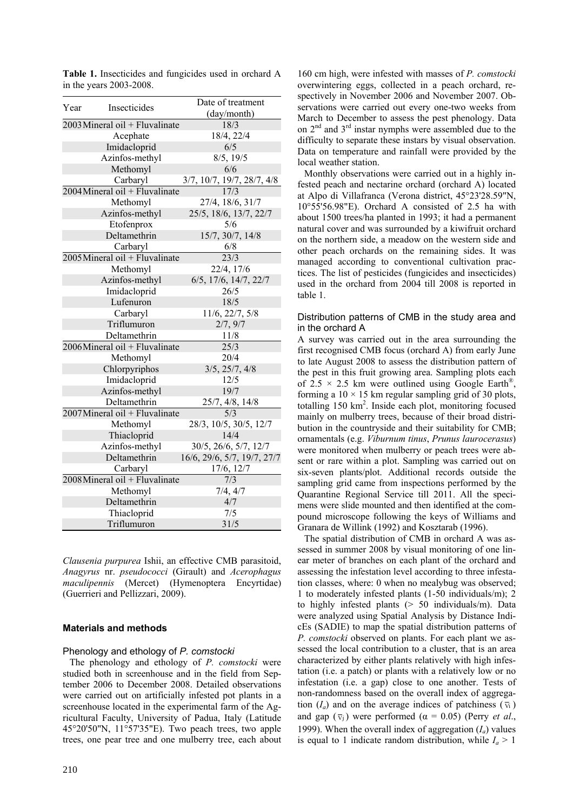| Year |                                  | Date of treatment           |  |  |
|------|----------------------------------|-----------------------------|--|--|
|      | <b>Insecticides</b>              | (day/month)                 |  |  |
|      | 2003 Mineral oil + Fluvalinate   | 18/3                        |  |  |
|      | Acephate                         | 18/4, 22/4                  |  |  |
|      | Imidacloprid                     | 6/5                         |  |  |
|      | Azinfos-methyl                   | 8/5, 19/5                   |  |  |
|      | Methomyl                         | 6/6                         |  |  |
|      | Carbaryl                         | 3/7, 10/7, 19/7, 28/7, 4/8  |  |  |
|      | $2004$ Mineral oil + Fluvalinate | 17/3                        |  |  |
|      | Methomyl                         | 27/4, 18/6, 31/7            |  |  |
|      | Azinfos-methyl                   | 25/5, 18/6, 13/7, 22/7      |  |  |
|      | Etofenprox                       | 5/6                         |  |  |
|      | Deltamethrin                     | 15/7, 30/7, 14/8            |  |  |
|      | Carbaryl                         | 6/8                         |  |  |
|      | $2005$ Mineral oil + Fluvalinate | $\overline{23/3}$           |  |  |
|      | Methomyl                         | 22/4, 17/6                  |  |  |
|      | Azinfos-methyl                   | 6/5, 17/6, 14/7, 22/7       |  |  |
|      | Imidacloprid                     | 26/5                        |  |  |
|      | Lufenuron                        | 18/5                        |  |  |
|      | Carbaryl                         | 11/6, 22/7, 5/8             |  |  |
|      | Triflumuron                      | 2/7, 9/7                    |  |  |
|      | Deltamethrin                     | 11/8                        |  |  |
|      | 2006Mineral oil + Fluvalinate    | 25/3                        |  |  |
|      | Methomyl                         | 20/4                        |  |  |
|      | Chlorpyriphos                    | 3/5, 25/7, 4/8              |  |  |
|      | Imidacloprid                     | 12/5                        |  |  |
|      | Azinfos-methyl                   | 19/7                        |  |  |
|      | Deltamethrin                     | 25/7, 4/8, 14/8             |  |  |
|      | $2007$ Mineral oil + Fluvalinate | 5/3                         |  |  |
|      | Methomyl                         | 28/3, 10/5, 30/5, 12/7      |  |  |
|      | Thiacloprid                      | 14/4                        |  |  |
|      | Azinfos-methyl                   | 30/5, 26/6, 5/7, 12/7       |  |  |
|      | Deltamethrin                     | 16/6, 29/6, 5/7, 19/7, 27/7 |  |  |
|      | Carbaryl                         | 17/6, 12/7                  |  |  |
|      | 2008 Mineral oil + Fluvalinate   | 7/3                         |  |  |
|      | Methomyl                         | 7/4, 4/7                    |  |  |
|      | Deltamethrin                     | 4/7                         |  |  |
|      | Thiacloprid                      | 7/5                         |  |  |
|      | Triflumuron                      | 31/5                        |  |  |

**Table 1.** Insecticides and fungicides used in orchard A in the years 2003-2008.

*Clausenia purpurea* Ishii, an effective CMB parasitoid, *Anagyrus* nr. *pseudococci* (Girault) and *Acerophagus maculipennis* (Mercet) (Hymenoptera Encyrtidae) (Guerrieri and Pellizzari, 2009).

### **Materials and methods**

### Phenology and ethology of *P. comstocki*

The phenology and ethology of *P. comstocki* were studied both in screenhouse and in the field from September 2006 to December 2008. Detailed observations were carried out on artificially infested pot plants in a screenhouse located in the experimental farm of the Agricultural Faculty, University of Padua, Italy (Latitude 45°20'50"N, 11°57'35"E). Two peach trees, two apple trees, one pear tree and one mulberry tree, each about

160 cm high, were infested with masses of *P. comstocki* overwintering eggs, collected in a peach orchard, respectively in November 2006 and November 2007. Observations were carried out every one-two weeks from March to December to assess the pest phenology. Data on  $2<sup>nd</sup>$  and  $3<sup>rd</sup>$  instar nymphs were assembled due to the difficulty to separate these instars by visual observation. Data on temperature and rainfall were provided by the local weather station.

Monthly observations were carried out in a highly infested peach and nectarine orchard (orchard A) located at Alpo di Villafranca (Verona district, 45°23'28.59"N, 10°55'56.98"E). Orchard A consisted of 2.5 ha with about 1500 trees/ha planted in 1993; it had a permanent natural cover and was surrounded by a kiwifruit orchard on the northern side, a meadow on the western side and other peach orchards on the remaining sides. It was managed according to conventional cultivation practices. The list of pesticides (fungicides and insecticides) used in the orchard from 2004 till 2008 is reported in table 1.

## Distribution patterns of CMB in the study area and in the orchard A

A survey was carried out in the area surrounding the first recognised CMB focus (orchard A) from early June to late August 2008 to assess the distribution pattern of the pest in this fruit growing area. Sampling plots each of 2.5  $\times$  2.5 km were outlined using Google Earth<sup>®</sup>, forming a  $10 \times 15$  km regular sampling grid of 30 plots, totalling 150 km2 . Inside each plot, monitoring focused mainly on mulberry trees, because of their broad distribution in the countryside and their suitability for CMB; ornamentals (e.g. *Viburnum tinus*, *Prunus laurocerasus*) were monitored when mulberry or peach trees were absent or rare within a plot. Sampling was carried out on six-seven plants/plot. Additional records outside the sampling grid came from inspections performed by the Quarantine Regional Service till 2011. All the specimens were slide mounted and then identified at the compound microscope following the keys of Williams and Granara de Willink (1992) and Kosztarab (1996).

The spatial distribution of CMB in orchard A was assessed in summer 2008 by visual monitoring of one linear meter of branches on each plant of the orchard and assessing the infestation level according to three infestation classes, where: 0 when no mealybug was observed; 1 to moderately infested plants (1-50 individuals/m); 2 to highly infested plants (> 50 individuals/m). Data were analyzed using Spatial Analysis by Distance IndicEs (SADIE) to map the spatial distribution patterns of *P. comstocki* observed on plants. For each plant we assessed the local contribution to a cluster, that is an area characterized by either plants relatively with high infestation (i.e. a patch) or plants with a relatively low or no infestation (i.e. a gap) close to one another. Tests of non-randomness based on the overall index of aggregation  $(I_a)$  and on the average indices of patchiness  $(\bar{v}_i)$ and gap  $(\bar{v}_j)$  were performed  $(\alpha = 0.05)$  (Perry *et al.*, 1999). When the overall index of aggregation  $(I_a)$  values is equal to 1 indicate random distribution, while  $I_a > 1$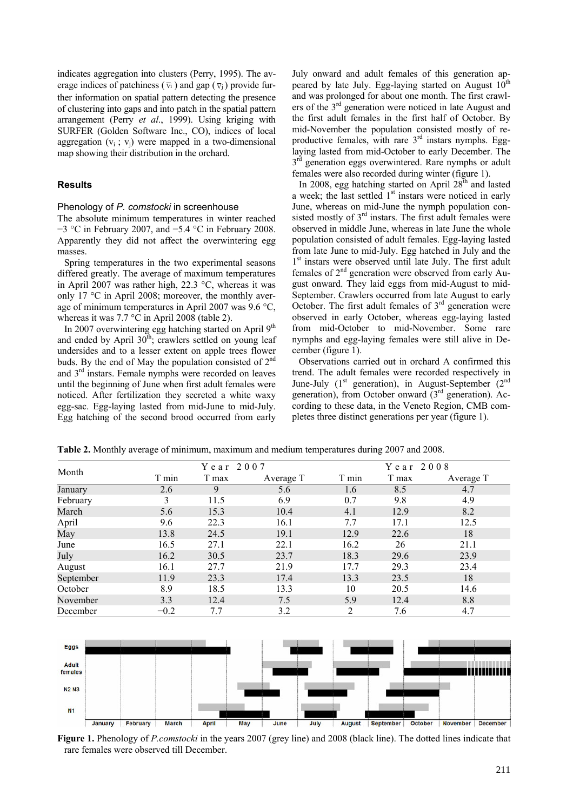indicates aggregation into clusters (Perry, 1995). The average indices of patchiness ( $\overline{v}_i$ ) and gap ( $\overline{v}_i$ ) provide further information on spatial pattern detecting the presence of clustering into gaps and into patch in the spatial pattern arrangement (Perry *et al*., 1999). Using kriging with SURFER (Golden Software Inc., CO), indices of local aggregation  $(v_i; v_j)$  were mapped in a two-dimensional map showing their distribution in the orchard.

# **Results**

#### Phenology of *P. comstocki* in screenhouse

The absolute minimum temperatures in winter reached −3 °C in February 2007, and −5.4 °C in February 2008. Apparently they did not affect the overwintering egg masses.

Spring temperatures in the two experimental seasons differed greatly. The average of maximum temperatures in April 2007 was rather high, 22.3 °C, whereas it was only 17 °C in April 2008; moreover, the monthly average of minimum temperatures in April 2007 was 9.6 °C, whereas it was 7.7 °C in April 2008 (table 2).

In 2007 overwintering egg hatching started on April 9<sup>th</sup> and ended by April  $30<sup>th</sup>$ ; crawlers settled on young leaf undersides and to a lesser extent on apple trees flower buds. By the end of May the population consisted of 2<sup>nd</sup> and 3rd instars. Female nymphs were recorded on leaves until the beginning of June when first adult females were noticed. After fertilization they secreted a white waxy egg-sac. Egg-laying lasted from mid-June to mid-July. Egg hatching of the second brood occurred from early

July onward and adult females of this generation appeared by late July. Egg-laying started on August  $10<sup>th</sup>$ and was prolonged for about one month. The first crawlers of the  $3<sup>rd</sup>$  generation were noticed in late August and the first adult females in the first half of October. By mid-November the population consisted mostly of reproductive females, with rare  $3<sup>rd</sup>$  instars nymphs. Egglaying lasted from mid-October to early December. The  $3<sup>rd</sup>$  generation eggs overwintered. Rare nymphs or adult females were also recorded during winter (figure 1).

In 2008, egg hatching started on April  $28<sup>th</sup>$  and lasted a week; the last settled  $1<sup>st</sup>$  instars were noticed in early June, whereas on mid-June the nymph population consisted mostly of 3<sup>rd</sup> instars. The first adult females were observed in middle June, whereas in late June the whole population consisted of adult females. Egg-laying lasted from late June to mid-July. Egg hatched in July and the 1<sup>st</sup> instars were observed until late July. The first adult females of  $2<sup>nd</sup>$  generation were observed from early August onward. They laid eggs from mid-August to mid-September. Crawlers occurred from late August to early October. The first adult females of  $3<sup>rd</sup>$  generation were observed in early October, whereas egg-laying lasted from mid-October to mid-November. Some rare nymphs and egg-laying females were still alive in December (figure 1).

Observations carried out in orchard A confirmed this trend. The adult females were recorded respectively in June-July  $(1^{st}$  generation), in August-September  $(2^{nd}$ generation), from October onward  $(3<sup>rd</sup>$  generation). According to these data, in the Veneto Region, CMB completes three distinct generations per year (figure 1).

| Month     | Year $2007$ |       | Year $2008$ |       |       |           |
|-----------|-------------|-------|-------------|-------|-------|-----------|
|           | T min       | T max | Average T   | T min | T max | Average T |
| January   | 2.6         | 9     | 5.6         | 1.6   | 8.5   | 4.7       |
| February  | 3           | 11.5  | 6.9         | 0.7   | 9.8   | 4.9       |
| March     | 5.6         | 15.3  | 10.4        | 4.1   | 12.9  | 8.2       |
| April     | 9.6         | 22.3  | 16.1        | 7.7   | 17.1  | 12.5      |
| May       | 13.8        | 24.5  | 19.1        | 12.9  | 22.6  | 18        |
| June      | 16.5        | 27.1  | 22.1        | 16.2  | 26    | 21.1      |
| July      | 16.2        | 30.5  | 23.7        | 18.3  | 29.6  | 23.9      |
| August    | 16.1        | 27.7  | 21.9        | 17.7  | 29.3  | 23.4      |
| September | 11.9        | 23.3  | 17.4        | 13.3  | 23.5  | 18        |
| October   | 8.9         | 18.5  | 13.3        | 10    | 20.5  | 14.6      |
| November  | 3.3         | 12.4  | 7.5         | 5.9   | 12.4  | 8.8       |
| December  | $-0.2$      | 7.7   | 3.2         | 2     | 7.6   | 4.7       |

**Table 2.** Monthly average of minimum, maximum and medium temperatures during 2007 and 2008.



**Figure 1.** Phenology of *P.comstocki* in the years 2007 (grey line) and 2008 (black line). The dotted lines indicate that rare females were observed till December.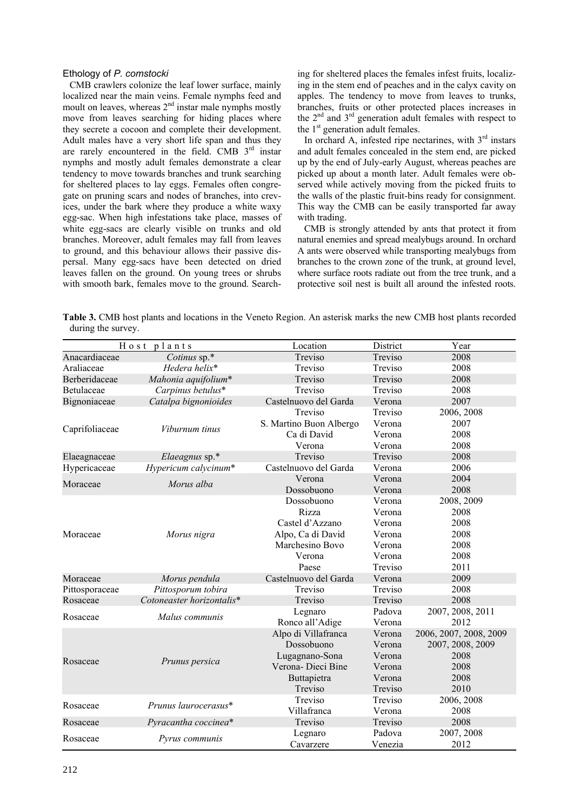## Ethology of *P. comstocki*

CMB crawlers colonize the leaf lower surface, mainly localized near the main veins. Female nymphs feed and moult on leaves, whereas  $2<sup>nd</sup>$  instar male nymphs mostly move from leaves searching for hiding places where they secrete a cocoon and complete their development. Adult males have a very short life span and thus they are rarely encountered in the field. CMB 3<sup>rd</sup> instar nymphs and mostly adult females demonstrate a clear tendency to move towards branches and trunk searching for sheltered places to lay eggs. Females often congregate on pruning scars and nodes of branches, into crevices, under the bark where they produce a white waxy egg-sac. When high infestations take place, masses of white egg-sacs are clearly visible on trunks and old branches. Moreover, adult females may fall from leaves to ground, and this behaviour allows their passive dispersal. Many egg-sacs have been detected on dried leaves fallen on the ground. On young trees or shrubs with smooth bark, females move to the ground. Search-

ing for sheltered places the females infest fruits, localizing in the stem end of peaches and in the calyx cavity on apples. The tendency to move from leaves to trunks, branches, fruits or other protected places increases in the  $2<sup>nd</sup>$  and  $3<sup>rd</sup>$  generation adult females with respect to the  $1<sup>st</sup>$  generation adult females.

In orchard A, infested ripe nectarines, with  $3<sup>rd</sup>$  instars and adult females concealed in the stem end, are picked up by the end of July-early August, whereas peaches are picked up about a month later. Adult females were observed while actively moving from the picked fruits to the walls of the plastic fruit-bins ready for consignment. This way the CMB can be easily transported far away with trading.

CMB is strongly attended by ants that protect it from natural enemies and spread mealybugs around. In orchard A ants were observed while transporting mealybugs from branches to the crown zone of the trunk, at ground level, where surface roots radiate out from the tree trunk, and a protective soil nest is built all around the infested roots.

**Table 3.** CMB host plants and locations in the Veneto Region. An asterisk marks the new CMB host plants recorded during the survey.

| Host plants    |                           | Location                | District | Year                   |
|----------------|---------------------------|-------------------------|----------|------------------------|
| Anacardiaceae  | Cotinus sp.*              | Treviso                 | Treviso  | 2008                   |
| Araliaceae     | Hedera helix*             | Treviso                 | Treviso  | 2008                   |
| Berberidaceae  | Mahonia aquifolium*       | Treviso                 | Treviso  | 2008                   |
| Betulaceae     | Carpinus betulus*         | Treviso                 | Treviso  | 2008                   |
| Bignoniaceae   | Catalpa bignonioides      | Castelnuovo del Garda   | Verona   | 2007                   |
| Caprifoliaceae | Viburnum tinus            | Treviso                 | Treviso  | 2006, 2008             |
|                |                           | S. Martino Buon Albergo | Verona   | 2007                   |
|                |                           | Ca di David             | Verona   | 2008                   |
|                |                           | Verona                  | Verona   | 2008                   |
| Elaeagnaceae   | Elaeagnus sp.*            | Treviso                 | Treviso  | 2008                   |
| Hypericaceae   | Hypericum calycinum*      | Castelnuovo del Garda   | Verona   | 2006                   |
| Moraceae       | Morus alba                | Verona                  | Verona   | 2004                   |
|                |                           | Dossobuono              | Verona   | 2008                   |
| Moraceae       | Morus nigra               | Dossobuono              | Verona   | 2008, 2009             |
|                |                           | Rizza                   | Verona   | 2008                   |
|                |                           | Castel d'Azzano         | Verona   | 2008                   |
|                |                           | Alpo, Ca di David       | Verona   | 2008                   |
|                |                           | Marchesino Bovo         | Verona   | 2008                   |
|                |                           | Verona                  | Verona   | 2008                   |
|                |                           | Paese                   | Treviso  | 2011                   |
| Moraceae       | Morus pendula             | Castelnuovo del Garda   | Verona   | 2009                   |
| Pittosporaceae | Pittosporum tobira        | Treviso                 | Treviso  | 2008                   |
| Rosaceae       | Cotoneaster horizontalis* | Treviso                 | Treviso  | 2008                   |
| Rosaceae       | Malus communis            | Legnaro                 | Padova   | 2007, 2008, 2011       |
|                |                           | Ronco all'Adige         | Verona   | 2012                   |
|                | Prunus persica            | Alpo di Villafranca     | Verona   | 2006, 2007, 2008, 2009 |
|                |                           | Dossobuono              | Verona   | 2007, 2008, 2009       |
| Rosaceae       |                           | Lugagnano-Sona          | Verona   | 2008                   |
|                |                           | Verona-Dieci Bine       | Verona   | 2008                   |
|                |                           | Buttapietra             | Verona   | 2008                   |
|                |                           | Treviso                 | Treviso  | 2010                   |
| Rosaceae       | Prunus laurocerasus*      | Treviso                 | Treviso  | 2006, 2008             |
|                |                           | Villafranca             | Verona   | 2008                   |
| Rosaceae       | Pyracantha coccinea*      | Treviso                 | Treviso  | 2008                   |
| Rosaceae       | Pyrus communis            | Legnaro                 | Padova   | 2007, 2008             |
|                |                           | Cavarzere               | Venezia  | 2012                   |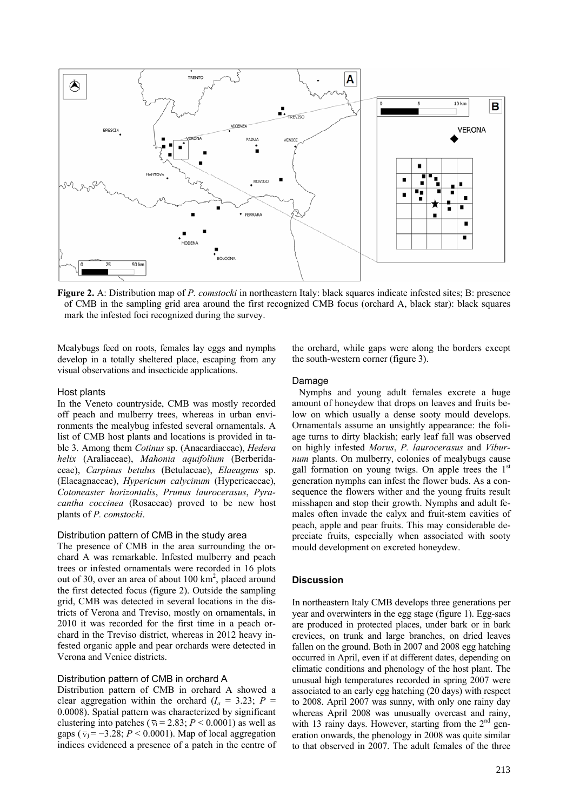

**Figure 2.** A: Distribution map of *P. comstocki* in northeastern Italy: black squares indicate infested sites; B: presence of CMB in the sampling grid area around the first recognized CMB focus (orchard A, black star): black squares mark the infested foci recognized during the survey.

Mealybugs feed on roots, females lay eggs and nymphs develop in a totally sheltered place, escaping from any visual observations and insecticide applications.

#### Host plants

In the Veneto countryside, CMB was mostly recorded off peach and mulberry trees, whereas in urban environments the mealybug infested several ornamentals. A list of CMB host plants and locations is provided in table 3. Among them *Cotinus* sp. (Anacardiaceae), *Hedera helix* (Araliaceae), *Mahonia aquifolium* (Berberidaceae), *Carpinus betulus* (Betulaceae), *Elaeagnus* sp. (Elaeagnaceae), *Hypericum calycinum* (Hypericaceae), *Cotoneaster horizontalis*, *Prunus laurocerasus*, *Pyracantha coccinea* (Rosaceae) proved to be new host plants of *P. comstocki*.

# Distribution pattern of CMB in the study area

The presence of CMB in the area surrounding the orchard A was remarkable. Infested mulberry and peach trees or infested ornamentals were recorded in 16 plots out of 30, over an area of about  $100 \text{ km}^2$ , placed around the first detected focus (figure 2). Outside the sampling grid, CMB was detected in several locations in the districts of Verona and Treviso, mostly on ornamentals, in 2010 it was recorded for the first time in a peach orchard in the Treviso district, whereas in 2012 heavy infested organic apple and pear orchards were detected in Verona and Venice districts.

# Distribution pattern of CMB in orchard A

Distribution pattern of CMB in orchard A showed a clear aggregation within the orchard  $(I_a = 3.23; P =$ 0.0008). Spatial pattern was characterized by significant clustering into patches ( $\overline{v_i}$  = 2.83; *P* < 0.0001) as well as gaps ( $\overline{v}_i = -3.28$ ;  $P < 0.0001$ ). Map of local aggregation indices evidenced a presence of a patch in the centre of the orchard, while gaps were along the borders except the south-western corner (figure 3).

# Damage

Nymphs and young adult females excrete a huge amount of honeydew that drops on leaves and fruits below on which usually a dense sooty mould develops. Ornamentals assume an unsightly appearance: the foliage turns to dirty blackish; early leaf fall was observed on highly infested *Morus*, *P. laurocerasus* and *Viburnum* plants. On mulberry, colonies of mealybugs cause gall formation on young twigs. On apple trees the  $1<sup>st</sup>$ generation nymphs can infest the flower buds. As a consequence the flowers wither and the young fruits result misshapen and stop their growth. Nymphs and adult females often invade the calyx and fruit-stem cavities of peach, apple and pear fruits. This may considerable depreciate fruits, especially when associated with sooty mould development on excreted honeydew.

#### **Discussion**

In northeastern Italy CMB develops three generations per year and overwinters in the egg stage (figure 1). Egg-sacs are produced in protected places, under bark or in bark crevices, on trunk and large branches, on dried leaves fallen on the ground. Both in 2007 and 2008 egg hatching occurred in April, even if at different dates, depending on climatic conditions and phenology of the host plant. The unusual high temperatures recorded in spring 2007 were associated to an early egg hatching (20 days) with respect to 2008. April 2007 was sunny, with only one rainy day whereas April 2008 was unusually overcast and rainy, with 13 rainy days. However, starting from the  $2<sup>nd</sup>$  generation onwards, the phenology in 2008 was quite similar to that observed in 2007. The adult females of the three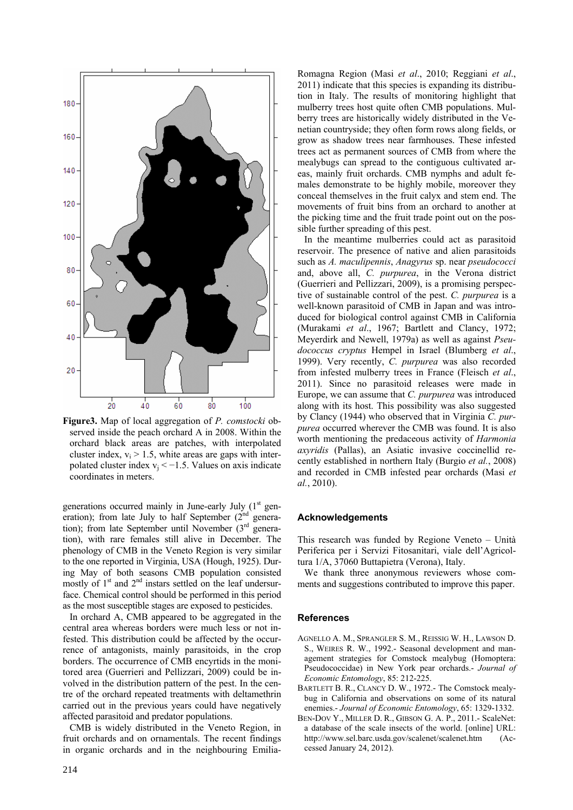

**Figure3.** Map of local aggregation of *P. comstocki* observed inside the peach orchard A in 2008. Within the orchard black areas are patches, with interpolated cluster index,  $v_i > 1.5$ , white areas are gaps with interpolated cluster index  $v_i < -1.5$ . Values on axis indicate coordinates in meters.

generations occurred mainly in June-early July  $(1<sup>st</sup>$  generation); from late July to half September  $(2<sup>nd</sup>)$  generation); from late September until November  $(3<sup>rd</sup>$  generation), with rare females still alive in December. The phenology of CMB in the Veneto Region is very similar to the one reported in Virginia, USA (Hough, 1925). During May of both seasons CMB population consisted mostly of  $1<sup>st</sup>$  and  $2<sup>nd</sup>$  instars settled on the leaf undersurface. Chemical control should be performed in this period as the most susceptible stages are exposed to pesticides.

In orchard A, CMB appeared to be aggregated in the central area whereas borders were much less or not infested. This distribution could be affected by the occurrence of antagonists, mainly parasitoids, in the crop borders. The occurrence of CMB encyrtids in the monitored area (Guerrieri and Pellizzari, 2009) could be involved in the distribution pattern of the pest. In the centre of the orchard repeated treatments with deltamethrin carried out in the previous years could have negatively affected parasitoid and predator populations.

CMB is widely distributed in the Veneto Region, in fruit orchards and on ornamentals. The recent findings in organic orchards and in the neighbouring EmiliaRomagna Region (Masi *et al*., 2010; Reggiani *et al*., 2011) indicate that this species is expanding its distribution in Italy. The results of monitoring highlight that mulberry trees host quite often CMB populations. Mulberry trees are historically widely distributed in the Venetian countryside; they often form rows along fields, or grow as shadow trees near farmhouses. These infested trees act as permanent sources of CMB from where the mealybugs can spread to the contiguous cultivated areas, mainly fruit orchards. CMB nymphs and adult females demonstrate to be highly mobile, moreover they conceal themselves in the fruit calyx and stem end. The movements of fruit bins from an orchard to another at the picking time and the fruit trade point out on the possible further spreading of this pest.

In the meantime mulberries could act as parasitoid reservoir. The presence of native and alien parasitoids such as *A. maculipennis*, *Anagyrus* sp. near *pseudococci* and, above all, *C. purpurea*, in the Verona district (Guerrieri and Pellizzari, 2009), is a promising perspective of sustainable control of the pest. *C. purpurea* is a well-known parasitoid of CMB in Japan and was introduced for biological control against CMB in California (Murakami *et al*., 1967; Bartlett and Clancy, 1972; Meyerdirk and Newell, 1979a) as well as against *Pseudococcus cryptus* Hempel in Israel (Blumberg *et al*., 1999). Very recently, *C. purpurea* was also recorded from infested mulberry trees in France (Fleisch *et al*., 2011). Since no parasitoid releases were made in Europe, we can assume that *C. purpurea* was introduced along with its host. This possibility was also suggested by Clancy (1944) who observed that in Virginia *C. purpurea* occurred wherever the CMB was found. It is also worth mentioning the predaceous activity of *Harmonia axyridis* (Pallas), an Asiatic invasive coccinellid recently established in northern Italy (Burgio *et al.*, 2008) and recorded in CMB infested pear orchards (Masi *et al.*, 2010).

### **Acknowledgements**

This research was funded by Regione Veneto – Unità Periferica per i Servizi Fitosanitari, viale dell'Agricoltura 1/A, 37060 Buttapietra (Verona), Italy.

We thank three anonymous reviewers whose comments and suggestions contributed to improve this paper.

#### **References**

- AGNELLO A. M., SPRANGLER S. M., REISSIG W. H., LAWSON D. S., WEIRES R. W., 1992.- Seasonal development and management strategies for Comstock mealybug (Homoptera: Pseudococcidae) in New York pear orchards.- *Journal of Economic Entomology*, 85: 212-225.
- BARTLETT B. R., CLANCY D. W., 1972.- The Comstock mealybug in California and observations on some of its natural enemies.- *Journal of Economic Entomology*, 65: 1329-1332.
- BEN-DOV Y., MILLER D. R., GIBSON G. A. P., 2011.- ScaleNet: a database of the scale insects of the world. [online] URL: http://www.sel.barc.usda.gov/scalenet/scalenet.htm (Accessed January 24, 2012).